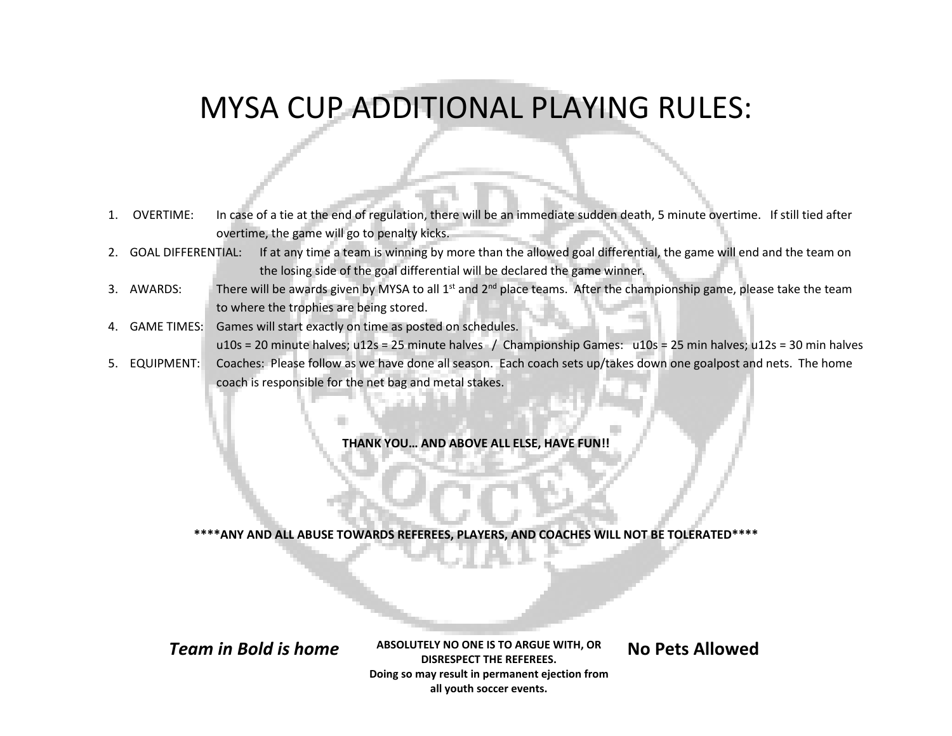# MYSA CUP ADDITIONAL PLAYING RULES:

- 1. OVERTIME: In case of a tie at the end of regulation, there will be an immediate sudden death, 5 minute overtime. If still tied after overtime, the game will go to penalty kicks.
- 2. GOAL DIFFERENTIAL: If at any time a team is winning by more than the allowed goal differential, the game will end and the team on the losing side of the goal differential will be declared the game winner.
- 3. AWARDS: There will be awards given by MYSA to all 1<sup>st</sup> and 2<sup>nd</sup> place teams. After the championship game, please take the team to where the trophies are being stored.
- 4. GAME TIMES: Games will start exactly on time as posted on schedules. u10s = 20 minute halves; u12s = 25 minute halves / Championship Games: u10s = 25 min halves; u12s = 30 min halves
- 5. EQUIPMENT: Coaches: Please follow as we have done all season. Each coach sets up/takes down one goalpost and nets. The home coach is responsible for the net bag and metal stakes.

**THANK YOU… AND ABOVE ALL ELSE, HAVE FUN!!**

**\*\*\*\*ANY AND ALL ABUSE TOWARDS REFEREES, PLAYERS, AND COACHES WILL NOT BE TOLERATED\*\*\*\***

 *Team in Bold is home* **ABSOLUTELY NO ONE IS TO ARGUE WITH, OR DISRESPECT THE REFEREES. Doing so may result in permanent ejection from all youth soccer events.**

**No Pets Allowed**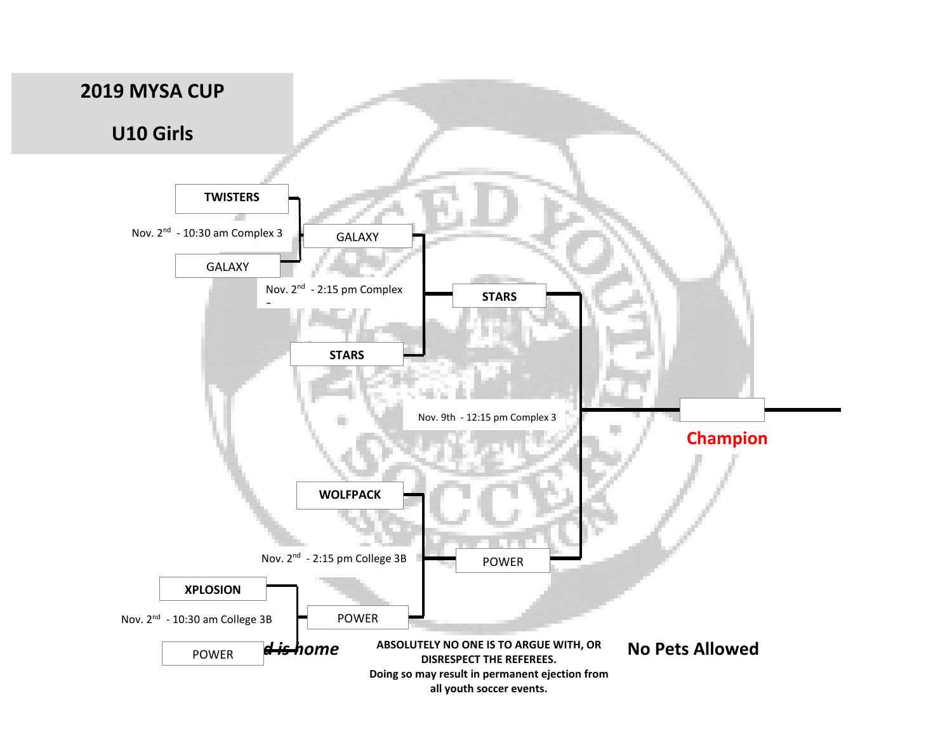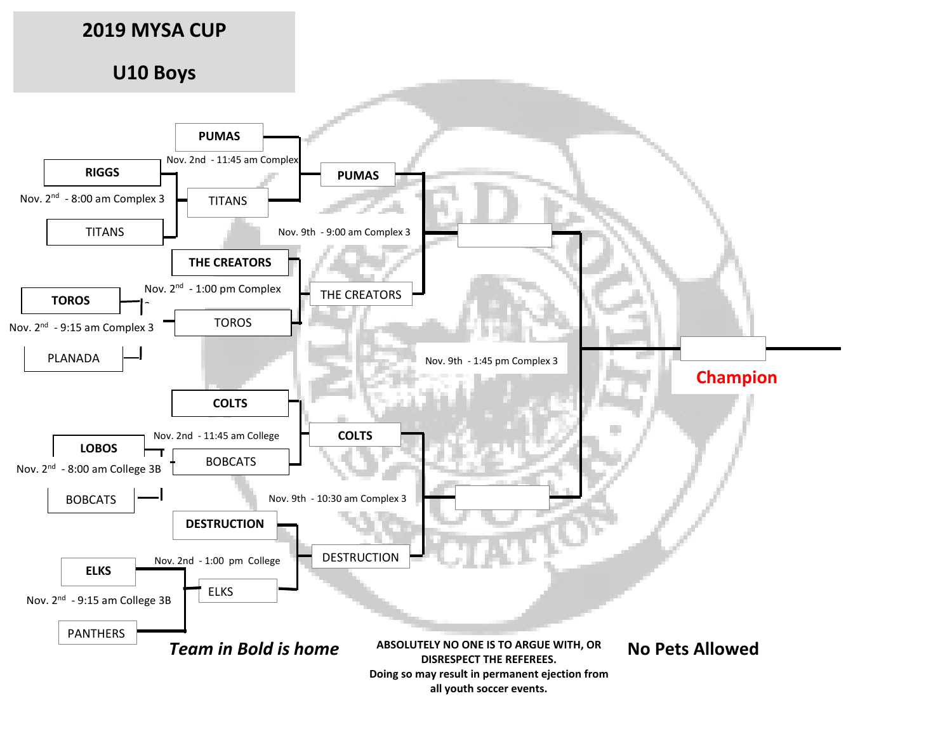## **2019 MYSA CUP**

## **U10 Boys**

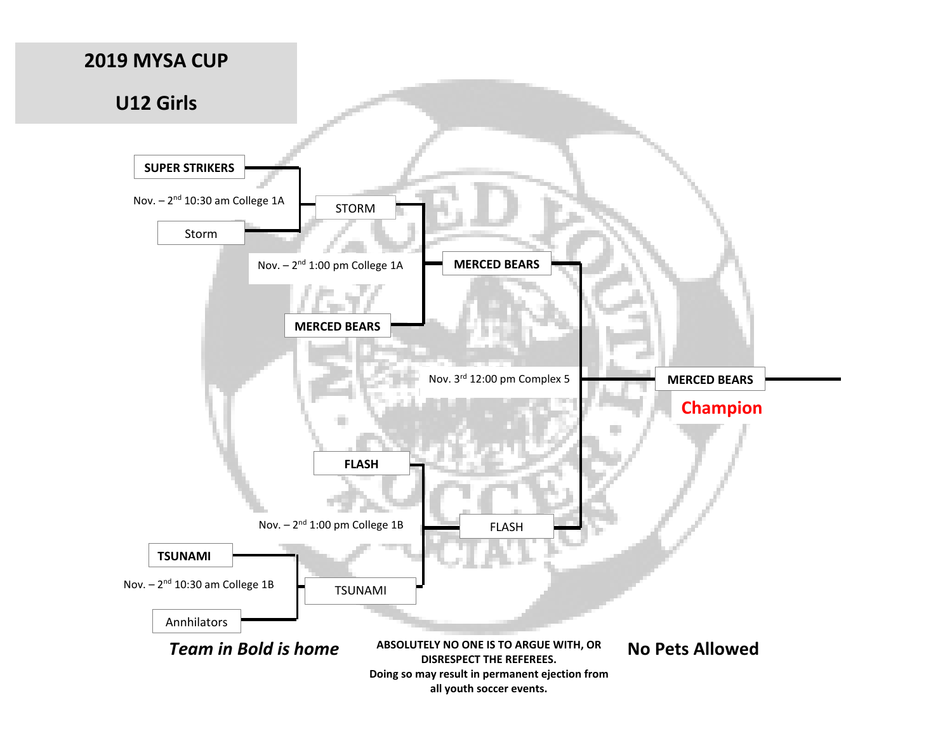### **2019 MYSA CUP**



**all youth soccer events.**